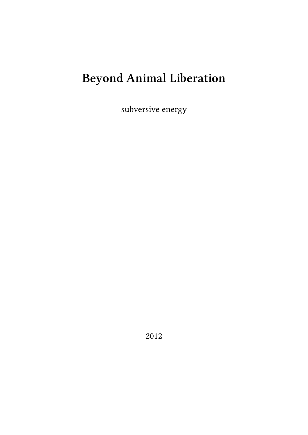# **Beyond Animal Liberation**

subversive energy

2012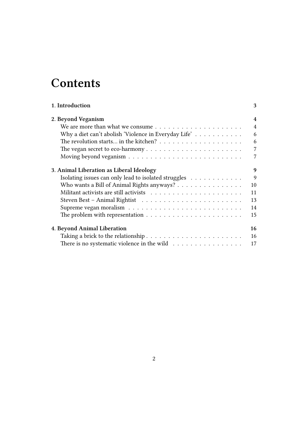## **Contents**

| 1. Introduction                                                             | 3                        |
|-----------------------------------------------------------------------------|--------------------------|
| 2. Beyond Veganism                                                          | 4                        |
|                                                                             | $\overline{\mathcal{A}}$ |
| Why a diet can't abolish 'Violence in Everyday Life' $\dots \dots \dots$    | 6                        |
|                                                                             | 6                        |
|                                                                             | 7                        |
|                                                                             | 7                        |
| 3. Animal Liberation as Liberal Ideology                                    | 9                        |
| Isolating issues can only lead to isolated struggles                        | 9                        |
| Who wants a Bill of Animal Rights anyways?                                  | 10                       |
|                                                                             | 11                       |
|                                                                             | 13                       |
|                                                                             | 14                       |
|                                                                             | 15                       |
| 4. Beyond Animal Liberation                                                 | 16                       |
|                                                                             | 16                       |
| There is no systematic violence in the wild $\dots \dots \dots \dots \dots$ | 17                       |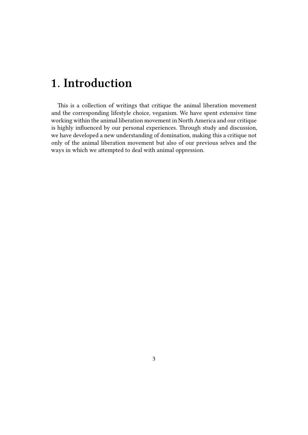## <span id="page-2-0"></span>**1. Introduction**

This is a collection of writings that critique the animal liberation movement and the corresponding lifestyle choice, veganism. We have spent extensive time working within the animal liberation movement in North America and our critique is highly influenced by our personal experiences. Through study and discussion, we have developed a new understanding of domination, making this a critique not only of the animal liberation movement but also of our previous selves and the ways in which we attempted to deal with animal oppression.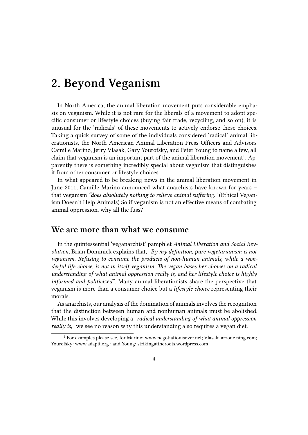### <span id="page-3-0"></span>**2. Beyond Veganism**

In North America, the animal liberation movement puts considerable emphasis on veganism. While it is not rare for the liberals of a movement to adopt specific consumer or lifestyle choices (buying fair trade, recycling, and so on), it is unusual for the 'radicals' of these movements to actively endorse these choices. Taking a quick survey of some of the individuals considered 'radical' animal liberationists, the North American Animal Liberation Press Officers and Advisors Camille Marino, Jerry Vlasak, Gary Yourofsky, and Peter Young to name a few, all claim that veganism is an important part of the animal liberation movement<sup>1</sup>. Apparently there is something incredibly special about veganism that distinguishes it from other consumer or lifestyle choices.

In what appeared to be breaking news in the animal liberation movement in June 2011, Camille Marino announced what anarchists have known for years – that veganism *"does absolutely nothing to relieve animal suffering."* (Ethical Veganism Doesn't Help Animals) So if veganism is not an effective means of combating animal oppression, why all the fuss?

#### **We are more than what we consume**

<span id="page-3-1"></span>In the quintessential 'veganarchist' pamphlet *Animal Liberation and Social Revolution*, Brian Dominick explains that, "*By my definition, pure vegetarianism is not veganism. Refusing to consume the products of non-human animals, while a wonderful life choice, is not in itself veganism. The vegan bases her choices on a radical understanding of what animal oppression really is, and her lifestyle choice is highly informed and politicized*". Many animal liberationists share the perspective that veganism is more than a consumer choice but a *lifestyle choice* representing their morals.

As anarchists, our analysis of the domination of animals involves the recognition that the distinction between human and nonhuman animals must be abolished. While this involves developing a "*radical understanding of what animal oppression really is,*" we see no reason why this understanding also requires a vegan diet.

<sup>&</sup>lt;sup>1</sup> For examples please see, for Marino: www.negotiationisover.net; Vlasak: arzone.ning.com; Yourofsky: www.adaptt.org ; and Young: strikingattheroots.wordpress.com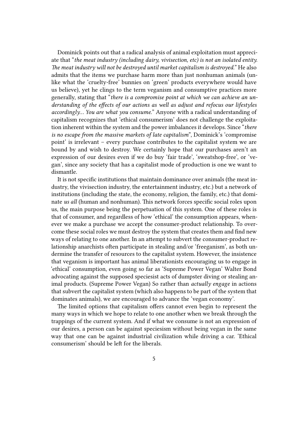Dominick points out that a radical analysis of animal exploitation must appreciate that "*the meat industry (including dairy, vivisection, etc) is not an isolated entity. The meat industry will not be destroyed until market capitalism is destroyed.*" He also admits that the items we purchase harm more than just nonhuman animals (unlike what the 'cruelty-free' bunnies on 'green' products everywhere would have us believe), yet he clings to the term veganism and consumptive practices more generally, stating that "*there is a compromise point at which we can achieve an understanding of the effects of our actions as well as adjust and refocus our lifestyles accordingly… You are what you consume.*" Anyone with a radical understanding of capitalism recognizes that 'ethical consumerism' does not challenge the exploitation inherent within the system and the power imbalances it develops. Since "*there is no escape from the massive markets of late capitalism*", Dominick's 'compromise point' is irrelevant – every purchase contributes to the capitalist system we are bound by and wish to destroy. We certainly hope that our purchases aren't an expression of our desires even if we do buy 'fair trade', 'sweatshop-free', or 'vegan', since any society that has a capitalist mode of production is one we want to dismantle.

It is not specific institutions that maintain dominance over animals (the meat industry, the vivisection industry, the entertainment industry, etc.) but a network of institutions (including the state, the economy, religion, the family, etc.) that dominate *us all* (human and nonhuman). This network forces specific social roles upon us, the main purpose being the perpetuation of this system. One of these roles is that of consumer, and regardless of how 'ethical' the consumption appears, whenever we make a purchase we accept the consumer-product relationship. To overcome these social roles we must destroy the system that creates them and find new ways of relating to one another. In an attempt to subvert the consumer-product relationship anarchists often participate in stealing and/or 'freeganism', as both undermine the transfer of resources to the capitalist system. However, the insistence that veganism is important has animal liberationists encouraging us to engage in 'ethical' consumption, even going so far as 'Supreme Power Vegan' Walter Bond advocating against the supposed speciesist acts of dumpster diving or stealing animal products. (Supreme Power Vegan) So rather than *actually engage* in actions that subvert the capitalist system (which also happens to be part of the system that dominates animals), we are encouraged to advance the 'vegan economy'.

The limited options that capitalism offers cannot even begin to represent the many ways in which we hope to relate to one another when we break through the trappings of the current system. And if what we consume is not an expression of our desires, a person can be against speciesism without being vegan in the same way that one can be against industrial civilization while driving a car. 'Ethical consumerism' should be left for the liberals.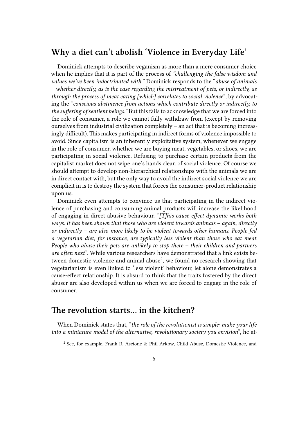#### <span id="page-5-0"></span>**Why a diet can't abolish 'Violence in Everyday Life'**

Dominick attempts to describe veganism as more than a mere consumer choice when he implies that it is part of the process of *"challenging the false wisdom and values we've been indoctrinated with."* Dominick responds to the "*abuse of animals – whether directly, as is the case regarding the mistreatment of pets, or indirectly, as through the process of meat eating [which] correlates to social violence*", by advocating the "*conscious abstinence from actions which contribute directly or indirectly, to the suffering of sentient beings."* But this fails to acknowledge that we are forced into the role of consumer, a role we cannot fully withdraw from (except by removing ourselves from industrial civilization completely – an act that is becoming increasingly difficult). This makes participating in indirect forms of violence impossible to avoid. Since capitalism is an inherently exploitative system, whenever we engage in the role of consumer, whether we are buying meat, vegetables, or shoes, we are participating in social violence. Refusing to purchase certain products from the capitalist market does not wipe one's hands clean of social violence. Of course we should attempt to develop non-hierarchical relationships with the animals we are in direct contact with, but the only way to avoid the indirect social violence we are complicit in is to destroy the system that forces the consumer-product relationship upon us.

Dominick even attempts to convince us that participating in the indirect violence of purchasing and consuming animal products will increase the likelihood of engaging in direct abusive behaviour. "*[T]his cause-effect dynamic works both ways. It has been shown that those who are violent towards animals – again, directly or indirectly – are also more likely to be violent towards other humans. People fed a vegetarian diet, for instance, are typically less violent than those who eat meat. People who abuse their pets are unlikely to stop there – their children and partners are often next*". While various researchers have demonstrated that a link exists between domestic violence and animal abuse<sup>2</sup>, we found no research showing that vegetarianism is even linked to 'less violent' behaviour, let alone demonstrates a cause-effect relationship. It is absurd to think that the traits fostered by the direct abuser are also developed within us when we are forced to engage in the role of consumer.

#### <span id="page-5-1"></span>**The revolution starts… in the kitchen?**

When Dominick states that, "*the role of the revolutionist is simple: make your life into a miniature model of the alternative, revolutionary society you envision*", he at-

<sup>2</sup> See, for example, Frank R. Ascione & Phil Arkow, Child Abuse, Domestic Violence, and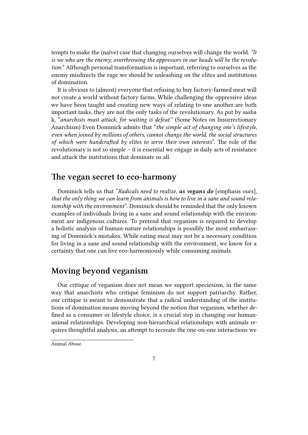tempts to make the (naïve) case that changing ourselves will change the world. *"It is we who are the enemy; overthrowing the oppressors in our heads will be the revolution.*" Although personal transformation is important, referring to ourselves as the enemy misdirects the rage we should be unleashing on the elites and institutions of domination.

It is obvious to (almost) everyone that refusing to buy factory-farmed meat will not create a world without factory farms. While challenging the oppressive ideas we have been taught and creating new ways of relating to one another are both important tasks, they are not the only tasks of the revolutionary. As put by sasha k, "*anarchists must attack, for waiting is defeat.*" (Some Notes on Insurrectionary Anarchism) Even Dominick admits that "*the simple act of changing one's lifestyle, even when joined by millions of others, cannot change the world, the social structures of which were handcrafted by elites to serve their own interests*". The role of the revolutionary is not so simple – it is essential we engage in daily acts of resistance and attack the institutions that dominate us all.

#### <span id="page-6-0"></span>**The vegan secret to eco-harmony**

Dominick tells us that "*Radicals need to realize, as vegans do* [emphasis ours], *that the only thing we can learn from animals is how to live in a sane and sound relationship with the environment*". Dominick should be reminded that the only known examples of individuals living in a sane and sound relationship with the environment are indigenous cultures. To pretend that veganism is required to develop a holistic analysis of human-nature relationships is possibly the most embarrassing of Dominick's mistakes. While eating meat may not be a necessary condition for living in a sane and sound relationship with the environment, we know for a certainty that one can live eco-harmoniously while consuming animals.

#### <span id="page-6-1"></span>**Moving beyond veganism**

Our critique of veganism does not mean we support speciesism, in the same way that anarchists who critique feminism do not support patriarchy. Rather, our critique is meant to demonstrate that a radical understanding of the institutions of domination means moving beyond the notion that veganism, whether defined as a consumer or lifestyle choice, is a crucial step in changing our humananimal relationships. Developing non-hierarchical relationships with animals requires thoughtful analysis, an attempt to recreate the one-on-one interactions we

Animal Abuse.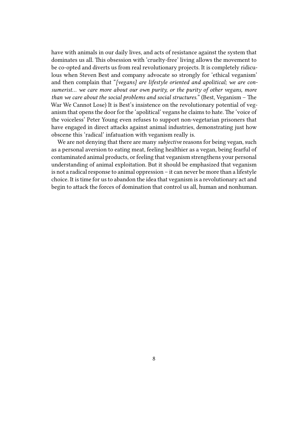have with animals in our daily lives, and acts of resistance against the system that dominates us all. This obsession with 'cruelty-free' living allows the movement to be co-opted and diverts us from real revolutionary projects. It is completely ridiculous when Steven Best and company advocate so strongly for 'ethical veganism' and then complain that "*[vegans] are lifestyle oriented and apolitical; we are consumerist… we care more about our own purity, or the purity of other vegans, more than we care about the social problems and social structures.*" (Best, Veganism – The War We Cannot Lose) It is Best's insistence on the revolutionary potential of veganism that opens the door for the 'apolitical' vegans he claims to hate. The 'voice of the voiceless' Peter Young even refuses to support non-vegetarian prisoners that have engaged in direct attacks against animal industries, demonstrating just how obscene this 'radical' infatuation with veganism really is.

We are not denying that there are many *subjective* reasons for being vegan, such as a personal aversion to eating meat, feeling healthier as a vegan, being fearful of contaminated animal products, or feeling that veganism strengthens your personal understanding of animal exploitation. But it should be emphasized that veganism is not a radical response to animal oppression – it can never be more than a lifestyle choice. It is time for us to abandon the idea that veganism is a revolutionary act and begin to attack the forces of domination that control us all, human and nonhuman.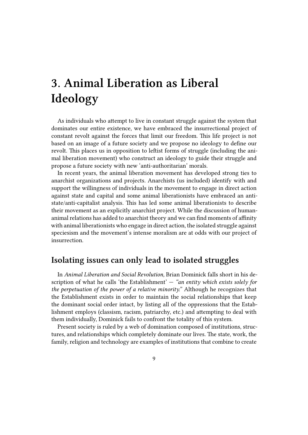# <span id="page-8-0"></span>**3. Animal Liberation as Liberal Ideology**

As individuals who attempt to live in constant struggle against the system that dominates our entire existence, we have embraced the insurrectional project of constant revolt against the forces that limit our freedom. This life project is not based on an image of a future society and we propose no ideology to define our revolt. This places us in opposition to leftist forms of struggle (including the animal liberation movement) who construct an ideology to guide their struggle and propose a future society with new 'anti-authoritarian' morals.

In recent years, the animal liberation movement has developed strong ties to anarchist organizations and projects. Anarchists (us included) identify with and support the willingness of individuals in the movement to engage in direct action against state and capital and some animal liberationists have embraced an antistate/anti-capitalist analysis. This has led some animal liberationists to describe their movement as an explicitly anarchist project. While the discussion of humananimal relations has added to anarchist theory and we can find moments of affinity with animal liberationists who engage in direct action, the isolated struggle against speciesism and the movement's intense moralism are at odds with our project of insurrection.

#### <span id="page-8-1"></span>**Isolating issues can only lead to isolated struggles**

In *Animal Liberation and Social Revolution,* Brian Dominick falls short in his description of what he calls 'the Establishment' — *"an entity which exists solely for the perpetuation of the power of a relative minority."* Although he recognizes that the Establishment exists in order to maintain the social relationships that keep the dominant social order intact, by listing all of the oppressions that the Establishment employs (classism, racism, patriarchy, etc.) and attempting to deal with them individually, Dominick fails to confront the totality of this system.

Present society is ruled by a web of domination composed of institutions, structures, and relationships which completely dominate our lives. The state, work, the family, religion and technology are examples of institutions that combine to create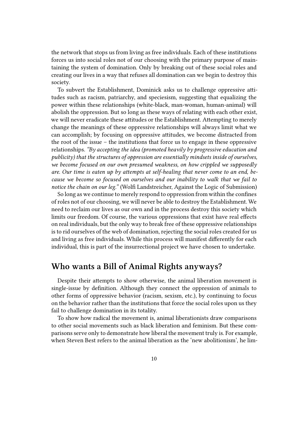the network that stops us from living as free individuals. Each of these institutions forces us into social roles not of our choosing with the primary purpose of maintaining the system of domination. Only by breaking out of these social roles and creating our lives in a way that refuses all domination can we begin to destroy this society.

To subvert the Establishment, Dominick asks us to challenge oppressive attitudes such as racism, patriarchy, and speciesism, suggesting that equalizing the power within these relationships (white-black, man-woman, human-animal) will abolish the oppression. But so long as these ways of relating with each other exist, we will never eradicate these attitudes or the Establishment. Attempting to merely change the meanings of these oppressive relationships will always limit what we can accomplish; by focusing on oppressive attitudes, we become distracted from the root of the issue – the institutions that force us to engage in these oppressive relationships. *"By accepting the idea (promoted heavily by progressive education and publicity) that the structures of oppression are essentially mindsets inside of ourselves, we become focused on our own presumed weakness, on how crippled we supposedly are. Our time is eaten up by attempts at self-healing that never come to an end, because we become so focused on ourselves and our inability to walk that we fail to notice the chain on our leg."* (Wolfi Landstreicher, Against the Logic of Submission)

So long as we continue to merely respond to oppression from within the confines of roles not of our choosing, we will never be able to destroy the Establishment. We need to reclaim our lives as our own and in the process destroy this society which limits our freedom. Of course, the various oppressions that exist have real effects on real individuals, but the only way to break free of these oppressive relationships is to rid ourselves of the web of domination, rejecting the social roles created for us and living as free individuals. While this process will manifest differently for each individual, this is part of the insurrectional project we have chosen to undertake.

#### <span id="page-9-0"></span>**Who wants a Bill of Animal Rights anyways?**

Despite their attempts to show otherwise, the animal liberation movement is single-issue by definition. Although they connect the oppression of animals to other forms of oppressive behavior (racism, sexism, etc.), by continuing to focus on the behavior rather than the institutions that force the social roles upon us they fail to challenge domination in its totality.

To show how radical the movement is, animal liberationists draw comparisons to other social movements such as black liberation and feminism. But these comparisons serve only to demonstrate how liberal the movement truly is. For example, when Steven Best refers to the animal liberation as the 'new abolitionism', he lim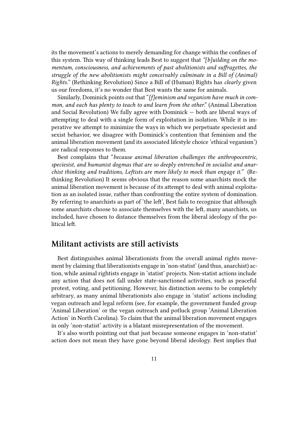its the movement's actions to merely demanding for change within the confines of this system. This way of thinking leads Best to suggest that *"[b]uilding on the momentum, consciousness, and achievements of past abolitionists and suffragettes, the struggle of the new abolitionists might conceivably culminate in a Bill of (Animal) Rights."* (Rethinking Revolution) Since a Bill of (Human) Rights has *clearly* given us our freedoms, it's no wonder that Best wants the same for animals.

Similarly, Dominick points out that "*[f]eminism and veganism have much in common, and each has plenty to teach to and learn from the other*." (Animal Liberation and Social Revolution) We fully agree with Dominick — both are liberal ways of attempting to deal with a single form of exploitation in isolation. While it is imperative we attempt to minimize the ways in which we perpetuate speciesist and sexist behavior, we disagree with Dominick's contention that feminism and the animal liberation movement (and its associated lifestyle choice 'ethical veganism') are radical responses to them.

Best complains that "*because animal liberation challenges the anthropocentric, speciesist, and humanist dogmas that are so deeply entrenched in socialist and anarchist thinking and traditions, Leftists are more likely to mock than engage it."* (Rethinking Revolution) It seems obvious that the reason some anarchists mock the animal liberation movement is because of its attempt to deal with animal exploitation as an isolated issue, rather than confronting the entire system of domination. By referring to anarchists as part of 'the left', Best fails to recognize that although some anarchists choose to associate themselves with the left, many anarchists, us included, have chosen to distance themselves from the liberal ideology of the political left.

#### <span id="page-10-0"></span>**Militant activists are still activists**

Best distinguishes animal liberationists from the overall animal rights movement by claiming that liberationists engage in 'non-statist' (and thus, anarchist) action, while animal rightists engage in 'statist' projects. Non-statist actions include any action that does not fall under state-sanctioned activities, such as peaceful protest, voting, and petitioning. However, his distinction seems to be completely arbitrary, as many animal liberationists also engage in 'statist' actions including vegan outreach and legal reform (see, for example, the government funded group 'Animal Liberation' or the vegan outreach and potluck group 'Animal Liberation Action' in North Carolina). To claim that the animal liberation movement engages in only 'non-statist' activity is a blatant misrepresentation of the movement.

It's also worth pointing out that just because someone engages in 'non-statist' action does not mean they have gone beyond liberal ideology. Best implies that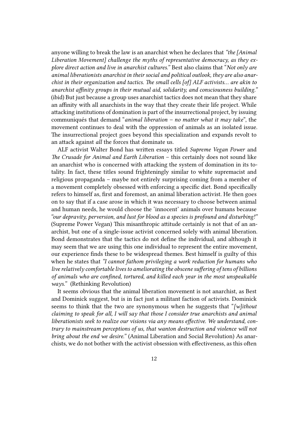anyone willing to break the law is an anarchist when he declares that *"the [Animal Liberation Movement] challenge the myths of representative democracy, as they explore direct action and live in anarchist cultures."* Best also claims that "*Not only are animal liberationists anarchist in their social and political outlook, they are also anarchist in their organization and tactics. The small cells [of] ALF activists… are akin to anarchist affinity groups in their mutual aid, solidarity, and consciousness building."* (ibid) But just because a group uses anarchist tactics does not mean that they share an affinity with all anarchists in the way that they create their life project. While attacking institutions of domination is part of the insurrectional project, by issuing communiqués that demand "*animal liberation – no matter what it may take*", the movement continues to deal with the oppression of animals as an isolated issue. The insurrectional project goes beyond this specialization and expands revolt to an attack against *all* the forces that dominate us.

ALF activist Walter Bond has written essays titled *Supreme Vegan Power* and *The Crusade for Animal and Earth Liberation* – this certainly does not sound like an anarchist who is concerned with attacking the system of domination in its totality. In fact, these titles sound frighteningly similar to white supremacist and religious propaganda – maybe not entirely surprising coming from a member of a movement completely obsessed with enforcing a specific diet. Bond specifically refers to himself as, first and foremost, an animal liberation activist. He then goes on to say that if a case arose in which it was necessary to choose between animal and human needs, he would choose the 'innocent' animals over humans because *"our depravity, perversion, and lust for blood as a species is profound and disturbing!"* (Supreme Power Vegan) This misanthropic attitude certainly is not that of an anarchist, but one of a single-issue activist concerned solely with animal liberation. Bond demonstrates that the tactics do not define the individual, and although it may seem that we are using this one individual to represent the entire movement, our experience finds these to be widespread themes. Best himself is guilty of this when he states that *"I cannot fathom privileging a work reduction for humans who live relatively comfortable lives to ameliorating the obscene suffering of tens of billions of animals who are confined, tortured, and killed each year in the most unspeakable ways."* (Rethinking Revolution)

It seems obvious that the animal liberation movement is not anarchist, as Best and Dominick suggest, but is in fact just a militant faction of activists. Dominick seems to think that the two are synonymous when he suggests that "*[w]ithout claiming to speak for all, I will say that those I consider true anarchists and animal liberationists seek to realize our visions via any means effective. We understand, contrary to mainstream perceptions of us, that wanton destruction and violence will not bring about the end we desire."* (Animal Liberation and Social Revolution) As anarchists, we do not bother with the activist obsession with effectiveness, as this often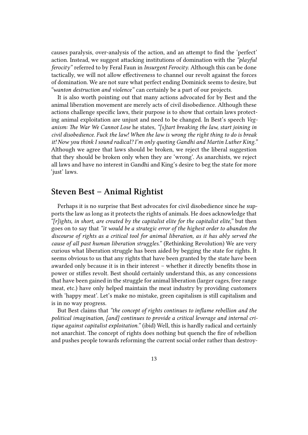causes paralysis, over-analysis of the action, and an attempt to find the 'perfect' action. Instead, we suggest attacking institutions of domination with the *"playful ferocity"* referred to by Feral Faun in *Insurgent Ferocity*. Although this can be done tactically, we will not allow effectiveness to channel our revolt against the forces of domination. We are not sure what perfect ending Dominick seems to desire, but *"wanton destruction and violence"* can certainly be a part of our projects.

It is also worth pointing out that many actions advocated for by Best and the animal liberation movement are merely acts of civil disobedience. Although these actions challenge specific laws, their purpose is to show that certain laws protecting animal exploitation are unjust and need to be changed. In Best's speech *Veganism: The War We Cannot Lose* he states, *"[s]tart breaking the law, start joining in civil disobedience. Fuck the law! When the law is wrong the right thing to do is break it! Now you think I sound radical? I'm only quoting Gandhi and Martin Luther King."* Although we agree that laws should be broken, we reject the liberal suggestion that they should be broken only when they are 'wrong'. As anarchists, we reject all laws and have no interest in Gandhi and King's desire to beg the state for more 'just' laws.

#### <span id="page-12-0"></span>**Steven Best – Animal Rightist**

Perhaps it is no surprise that Best advocates for civil disobedience since he supports the law as long as it protects the rights of animals. He does acknowledge that *"[r]ights, in short, are created by the capitalist elite for the capitalist elite,"* but then goes on to say that *"it would be a strategic error of the highest order to abandon the discourse of rights as a critical tool for animal liberation, as it has ably served the cause of all past human liberation struggles."* (Rethinking Revolution) We are very curious what liberation struggle has been aided by begging the state for rights. It seems obvious to us that any rights that have been granted by the state have been awarded only because it is in their interest – whether it directly benefits those in power or stifles revolt. Best should certainly understand this, as any concessions that have been gained in the struggle for animal liberation (larger cages, free range meat, etc.) have only helped maintain the meat industry by providing customers with 'happy meat'. Let's make no mistake, green capitalism is still capitalism and is in no way progress.

But Best claims that *"the concept of rights continues to inflame rebellion and the political imagination, [and] continues to provide a critical leverage and internal critique against capitalist exploitation."* (ibid) Well, this is hardly radical and certainly not anarchist. The concept of rights does nothing but quench the fire of rebellion and pushes people towards reforming the current social order rather than destroy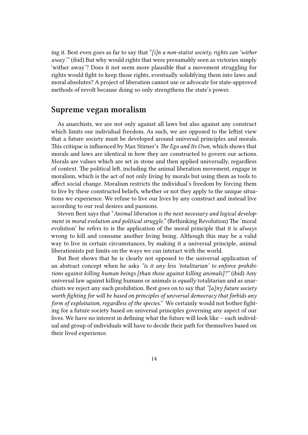ing it. Best even goes as far to say that "*[i]n a non-statist society, rights can 'wither away'."* (ibid) But why would rights that were presumably seen as victories simply 'wither away'? Does it not seem more plausible that a movement struggling for rights would fight to keep those rights, eventually solidifying them into laws and moral absolutes? A project of liberation cannot use or advocate for state-approved methods of revolt because doing so only strengthens the state's power.

#### <span id="page-13-0"></span>**Supreme vegan moralism**

As anarchists, we are not only against all laws but also against any construct which limits our individual freedom. As such, we are opposed to the leftist view that a future society must be developed around universal principles and morals. This critique is influenced by Max Stirner's *The Ego and Its Own*, which shows that morals and laws are identical in how they are constructed to govern our actions. Morals are values which are set in stone and then applied universally, regardless of context. The political left, including the animal liberation movement, engage in moralism, which is the act of not only living by morals but using them as tools to affect social change. Moralism restricts the individual's freedom by forcing them to live by these constructed beliefs, whether or not they apply to the unique situations we experience. We refuse to live our lives by any construct and instead live according to our real desires and passions.

Steven Best says that "*Animal liberation is the next necessary and logical development in moral evolution and political struggle."* (Rethinking Revolution) The 'moral evolution' he refers to is the application of the moral principle that it is *always* wrong to kill and consume another living being. Although this may be a valid way to live in certain circumstances, by making it a universal principle, animal liberationists put limits on the ways we can interact with the world.

But Best shows that he is clearly not opposed to the universal application of an abstract concept when he asks *"is it any less 'totalitarian' to enforce prohibitions against killing human beings [than those against killing animals]?"* (ibid) Any universal law against killing humans or animals is *equally* totalitarian and as anarchists we reject any such prohibition. Best goes on to say that *"[a]ny future society worth fighting for will be based on principles of universal democracy that forbids any form of exploitation, regardless of the species."* We certainly would not bother fighting for a future society based on universal principles governing any aspect of our lives. We have no interest in defining what the future will look like – each individual and group of individuals will have to decide their path for themselves based on their lived experience.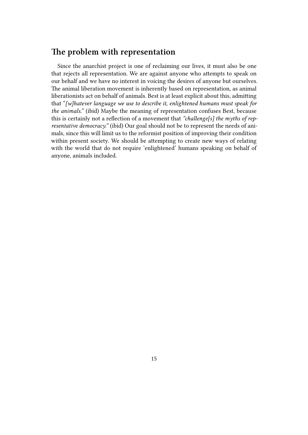#### <span id="page-14-0"></span>**The problem with representation**

Since the anarchist project is one of reclaiming our lives, it must also be one that rejects all representation. We are against anyone who attempts to speak on our behalf and we have no interest in voicing the desires of anyone but ourselves. The animal liberation movement is inherently based on representation, as animal liberationists act on behalf of animals. Best is at least explicit about this, admitting that "*[w]hatever language we use to describe it, enlightened humans must speak for the animals."* (ibid) Maybe the meaning of representation confuses Best, because this is certainly not a reflection of a movement that *"challenge[s] the myths of representative democracy."* (ibid) Our goal should not be to represent the needs of animals, since this will limit us to the reformist position of improving their condition within present society. We should be attempting to create new ways of relating with the world that do not require 'enlightened' humans speaking on behalf of anyone, animals included.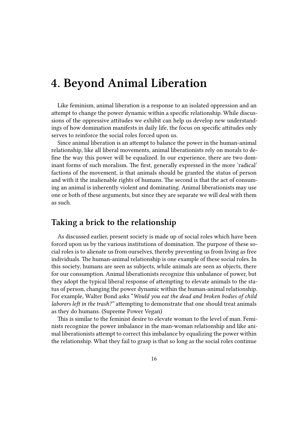### **4. Beyond Animal Liberation**

Like feminism, animal liberation is a response to an isolated oppression and an attempt to change the power dynamic within a specific relationship. While discussions of the oppressive attitudes we exhibit can help us develop new understandings of how domination manifests in daily life, the focus on specific attitudes only serves to reinforce the social roles forced upon us.

Since animal liberation is an attempt to balance the power in the human-animal relationship, like all liberal movements, animal liberationists rely on morals to define the way this power will be equalized. In our experience, there are two dominant forms of such moralism. The first, generally expressed in the more 'radical' factions of the movement, is that animals should be granted the status of person and with it the inalienable rights of humans. The second is that the act of consuming an animal is inherently violent and dominating. Animal liberationists may use one or both of these arguments, but since they are separate we will deal with them as such.

#### **Taking a brick to the relationship**

As discussed earlier, present society is made up of social roles which have been forced upon us by the various institutions of domination. The purpose of these social roles is to alienate us from ourselves, thereby preventing us from living as free individuals. The human-animal relationship is one example of these social roles. In this society, humans are seen as subjects, while animals are seen as objects, there for our consumption. Animal liberationists recognize this unbalance of power, but they adopt the typical liberal response of attempting to elevate animals to the status of person, changing the power dynamic within the human-animal relationship. For example, Walter Bond asks "*Would you eat the dead and broken bodies of child laborers left in the trash?"* attempting to demonstrate that one should treat animals as they do humans. (Supreme Power Vegan)

This is similar to the feminist desire to elevate woman to the level of man. Feminists recognize the power imbalance in the man-woman relationship and like animal liberationists attempt to correct this imbalance by equalizing the power within the relationship. What they fail to grasp is that so long as the social roles continue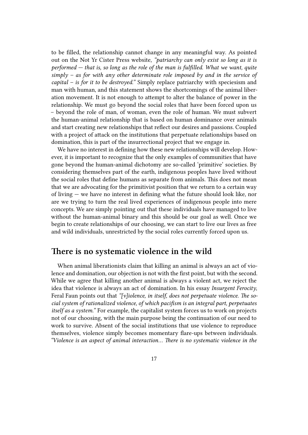to be filled, the relationship cannot change in any meaningful way. As pointed out on the Not Yr Cister Press website, *"patriarchy can only exist so long as it is performed — that is, so long as the role of the man is fulfilled. What we want, quite simply – as for with any other determinate role imposed by and in the service of capital – is for it to be destroyed."* Simply replace patriarchy with speciesism and man with human, and this statement shows the shortcomings of the animal liberation movement. It is not enough to attempt to alter the balance of power in the relationship. We must go beyond the social roles that have been forced upon us – beyond the role of man, of woman, even the role of human. We must subvert the human-animal relationship that is based on human dominance over animals and start creating new relationships that reflect our desires and passions. Coupled with a project of attack on the institutions that perpetuate relationships based on domination, this is part of the insurrectional project that we engage in.

We have no interest in defining how these new relationships will develop. However, it is important to recognize that the only examples of communities that have gone beyond the human-animal dichotomy are so-called 'primitive' societies. By considering themselves part of the earth, indigenous peoples have lived without the social roles that define humans as separate from animals. This does not mean that we are advocating for the primitivist position that we return to a certain way of living — we have no interest in defining what the future should look like, nor are we trying to turn the real lived experiences of indigenous people into mere concepts. We are simply pointing out that these individuals have managed to live without the human-animal binary and this should be our goal as well. Once we begin to create relationships of our choosing, we can start to live our lives as free and wild individuals, unrestricted by the social roles currently forced upon us.

#### **There is no systematic violence in the wild**

When animal liberationists claim that killing an animal is always an act of violence and domination, our objection is not with the first point, but with the second. While we agree that killing another animal is always a violent act, we reject the idea that violence is always an act of domination. In his essay *Insurgent Ferocity*, Feral Faun points out that *"[v]iolence, in itself, does not perpetuate violence. The social system of rationalized violence, of which pacifism is an integral part, perpetuates itself as a system."* For example, the capitalist system forces us to work on projects not of our choosing, with the main purpose being the continuation of our need to work to survive. Absent of the social institutions that use violence to reproduce themselves, violence simply becomes momentary flare-ups between individuals. *"Violence is an aspect of animal interaction… There is no systematic violence in the*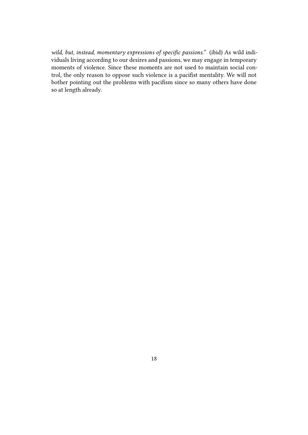*wild, but, instead, momentary expressions of specific passions."* (ibid) As wild individuals living according to our desires and passions, we may engage in temporary moments of violence. Since these moments are not used to maintain social control, the only reason to oppose such violence is a pacifist mentality. We will not bother pointing out the problems with pacifism since so many others have done so at length already.